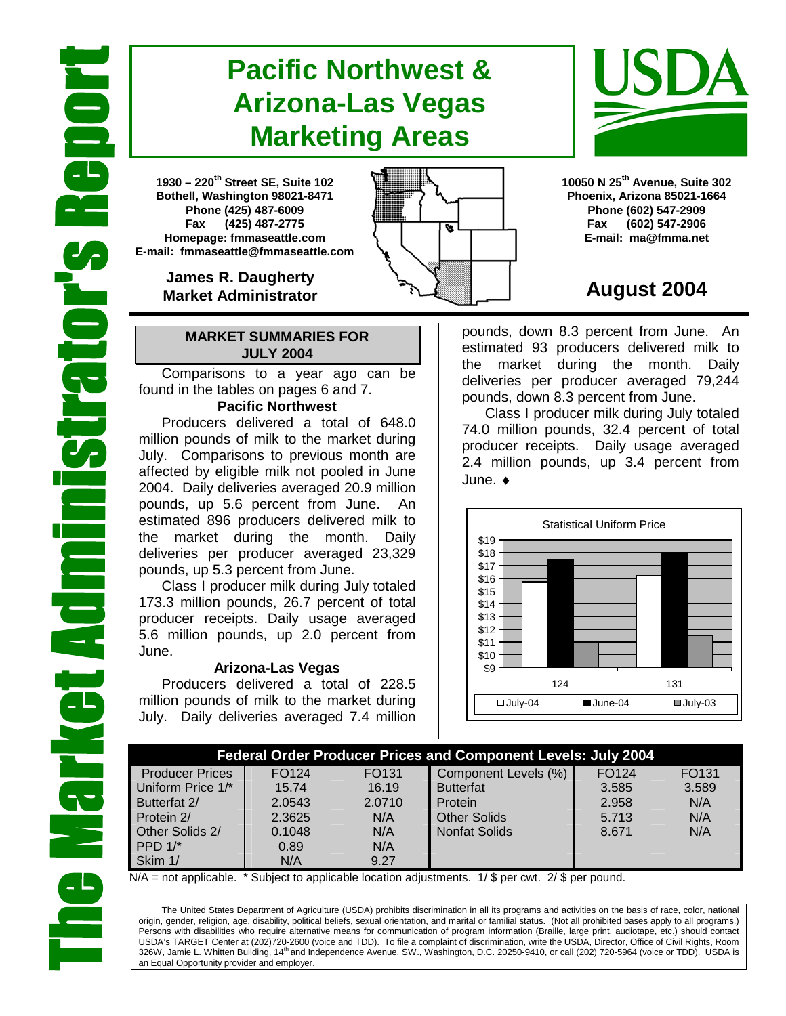# **Pacific Northwest & Arizona-Las Vegas Marketing Areas**

**1930 – 220th Street SE, Suite 102 Bothell, Washington 98021-8471 Phone (425) 487-6009 Fax (425) 487-2775 Homepage: fmmaseattle.com E-mail: fmmaseattle@fmmaseattle.com**

> **James R. Daugherty Market Administrator**

### **MARKET SUMMARIES FOR JULY 2004**

 Comparisons to a year ago can be found in the tables on pages 6 and 7.

### **Pacific Northwest**

Producers delivered a total of 648.0 million pounds of milk to the market during July. Comparisons to previous month are affected by eligible milk not pooled in June 2004. Daily deliveries averaged 20.9 million pounds, up 5.6 percent from June. estimated 896 producers delivered milk to the market during the month. Daily deliveries per producer averaged 23,329 pounds, up 5.3 percent from June.

Class I producer milk during July totaled 173.3 million pounds, 26.7 percent of total producer receipts. Daily usage averaged 5.6 million pounds, up 2.0 percent from June.

### **Arizona-Las Vegas**

Producers delivered a total of 228.5 million pounds of milk to the market during July. Daily deliveries averaged 7.4 million **10050 N 25th Avenue, Suite 302 Phoenix, Arizona 85021-1664 Phone (602) 547-2909 Fax (602) 547-2906 E-mail: ma@fmma.net**

## **August 2004**

pounds, down 8.3 percent from June. An estimated 93 producers delivered milk to the market during the month. Daily deliveries per producer averaged 79,244 pounds, down 8.3 percent from June.

Class I producer milk during July totaled 74.0 million pounds, 32.4 percent of total producer receipts. Daily usage averaged 2.4 million pounds, up 3.4 percent from June. ♦



| <b>Federal Order Producer Prices and Component Levels: July 2004</b> |                   |        |                      |       |       |  |  |  |
|----------------------------------------------------------------------|-------------------|--------|----------------------|-------|-------|--|--|--|
| <b>Producer Prices</b>                                               | FO <sub>124</sub> | FO131  | Component Levels (%) | FO124 | FO131 |  |  |  |
| Uniform Price 1/*                                                    | 15.74             | 16.19  | <b>Butterfat</b>     | 3.585 | 3.589 |  |  |  |
| Butterfat 2/                                                         | 2.0543            | 2.0710 | Protein              | 2.958 | N/A   |  |  |  |
| Protein 2/                                                           | 2.3625            | N/A    | <b>Other Solids</b>  | 5.713 | N/A   |  |  |  |
| Other Solids 2/                                                      | 0.1048            | N/A    | <b>Nonfat Solids</b> | 8.671 | N/A   |  |  |  |
| PPD $1$ <sup>*</sup>                                                 | 0.89              | N/A    |                      |       |       |  |  |  |
| Skim 1/                                                              | N/A               | 9.27   |                      |       |       |  |  |  |

 $N/A$  = not applicable. \* Subject to applicable location adjustments. 1/ \$ per cwt. 2/ \$ per pound.

The United States Department of Agriculture (USDA) prohibits discrimination in all its programs and activities on the basis of race, color, national origin, gender, religion, age, disability, political beliefs, sexual orientation, and marital or familial status. (Not all prohibited bases apply to all programs.) Persons with disabilities who require alternative means for communication of program information (Braille, large print, audiotape, etc.) should contact USDA's TARGET Center at (202)720-2600 (voice and TDD). To file a complaint of discrimination, write the USDA, Director, Office of Civil Rights, Room 326W, Jamie L. Whitten Building, 14<sup>th</sup> and Independence Avenue, SW., Washington, D.C. 20250-9410, or call (202) 720-5964 (voice or TDD). USDA is an Equal Opportunity provider and employer.



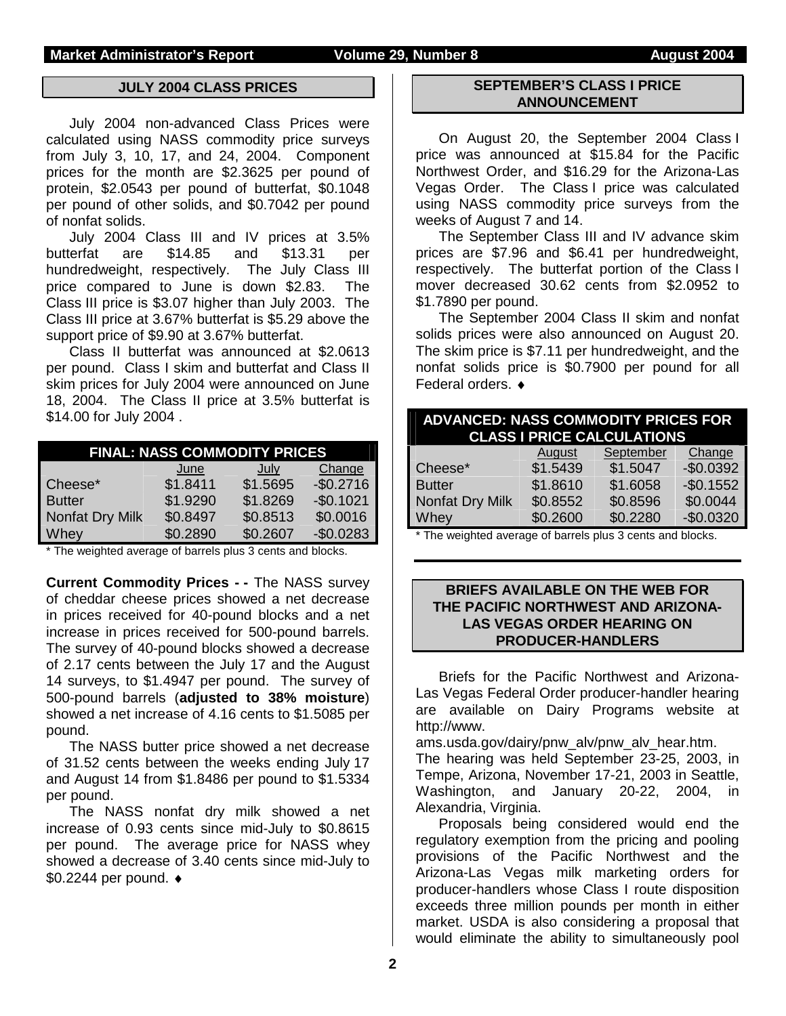### **JULY 2004 CLASS PRICES**

July 2004 non-advanced Class Prices were calculated using NASS commodity price surveys from July 3, 10, 17, and 24, 2004. Component prices for the month are \$2.3625 per pound of protein, \$2.0543 per pound of butterfat, \$0.1048 per pound of other solids, and \$0.7042 per pound of nonfat solids.

 July 2004 Class III and IV prices at 3.5% butterfat are \$14.85 and \$13.31 per hundredweight, respectively. The July Class III price compared to June is down \$2.83. The Class III price is \$3.07 higher than July 2003. The Class III price at 3.67% butterfat is \$5.29 above the support price of \$9.90 at 3.67% butterfat.

Class II butterfat was announced at \$2.0613 per pound. Class I skim and butterfat and Class II skim prices for July 2004 were announced on June 18, 2004. The Class II price at 3.5% butterfat is \$14.00 for July 2004 .

| <b>FINAL: NASS COMMODITY PRICES</b> |          |          |            |  |  |  |  |  |  |  |
|-------------------------------------|----------|----------|------------|--|--|--|--|--|--|--|
| Change<br>June<br>July              |          |          |            |  |  |  |  |  |  |  |
| Cheese*                             | \$1.8411 | \$1.5695 | $-$0.2716$ |  |  |  |  |  |  |  |
| <b>Butter</b>                       | \$1.9290 | \$1.8269 | $-$0.1021$ |  |  |  |  |  |  |  |
| Nonfat Dry Milk                     | \$0.8497 | \$0.8513 | \$0.0016   |  |  |  |  |  |  |  |
| Whey                                | \$0.2890 | \$0.2607 | $-$0.0283$ |  |  |  |  |  |  |  |

\* The weighted average of barrels plus 3 cents and blocks.

**Current Commodity Prices - -** The NASS survey of cheddar cheese prices showed a net decrease in prices received for 40-pound blocks and a net increase in prices received for 500-pound barrels. The survey of 40-pound blocks showed a decrease of 2.17 cents between the July 17 and the August 14 surveys, to \$1.4947 per pound. The survey of 500-pound barrels (**adjusted to 38% moisture**) showed a net increase of 4.16 cents to \$1.5085 per pound.

The NASS butter price showed a net decrease of 31.52 cents between the weeks ending July 17 and August 14 from \$1.8486 per pound to \$1.5334 per pound.

The NASS nonfat dry milk showed a net increase of 0.93 cents since mid-July to \$0.8615 per pound. The average price for NASS whey showed a decrease of 3.40 cents since mid-July to \$0.2244 per pound. ♦

### **SEPTEMBER'S CLASS I PRICE ANNOUNCEMENT**

 On August 20, the September 2004 Class I price was announced at \$15.84 for the Pacific Northwest Order, and \$16.29 for the Arizona-Las Vegas Order. The Class I price was calculated using NASS commodity price surveys from the weeks of August 7 and 14.

 The September Class III and IV advance skim prices are \$7.96 and \$6.41 per hundredweight, respectively. The butterfat portion of the Class I mover decreased 30.62 cents from \$2.0952 to \$1.7890 per pound.

 The September 2004 Class II skim and nonfat solids prices were also announced on August 20. The skim price is \$7.11 per hundredweight, and the nonfat solids price is \$0.7900 per pound for all Federal orders. ♦

| <b>ADVANCED: NASS COMMODITY PRICES FOR</b><br><b>CLASS I PRICE CALCULATIONS</b> |          |           |            |  |  |  |  |  |
|---------------------------------------------------------------------------------|----------|-----------|------------|--|--|--|--|--|
|                                                                                 | August   | September | Change     |  |  |  |  |  |
| Cheese*                                                                         | \$1.5439 | \$1.5047  | $-$0.0392$ |  |  |  |  |  |
| <b>Butter</b>                                                                   | \$1.8610 | \$1.6058  | $-$0.1552$ |  |  |  |  |  |
| Nonfat Dry Milk                                                                 | \$0.8552 | \$0.8596  | \$0.0044   |  |  |  |  |  |
| <b>Whey</b>                                                                     | \$0.2600 | \$0.2280  | $-$0.0320$ |  |  |  |  |  |
| . .<br>.                                                                        |          |           | .          |  |  |  |  |  |

\* The weighted average of barrels plus 3 cents and blocks.

### **BRIEFS AVAILABLE ON THE WEB FOR THE PACIFIC NORTHWEST AND ARIZONA-LAS VEGAS ORDER HEARING ON PRODUCER-HANDLERS**

Briefs for the Pacific Northwest and Arizona-Las Vegas Federal Order producer-handler hearing are available on Dairy Programs website at http://www.

ams.usda.gov/dairy/pnw\_alv/pnw\_alv\_hear.htm. The hearing was held September 23-25, 2003, in Tempe, Arizona, November 17-21, 2003 in Seattle, Washington, and January 20-22, 2004, in Alexandria, Virginia.

Proposals being considered would end the regulatory exemption from the pricing and pooling provisions of the Pacific Northwest and the Arizona-Las Vegas milk marketing orders for producer-handlers whose Class I route disposition exceeds three million pounds per month in either market. USDA is also considering a proposal that would eliminate the ability to simultaneously pool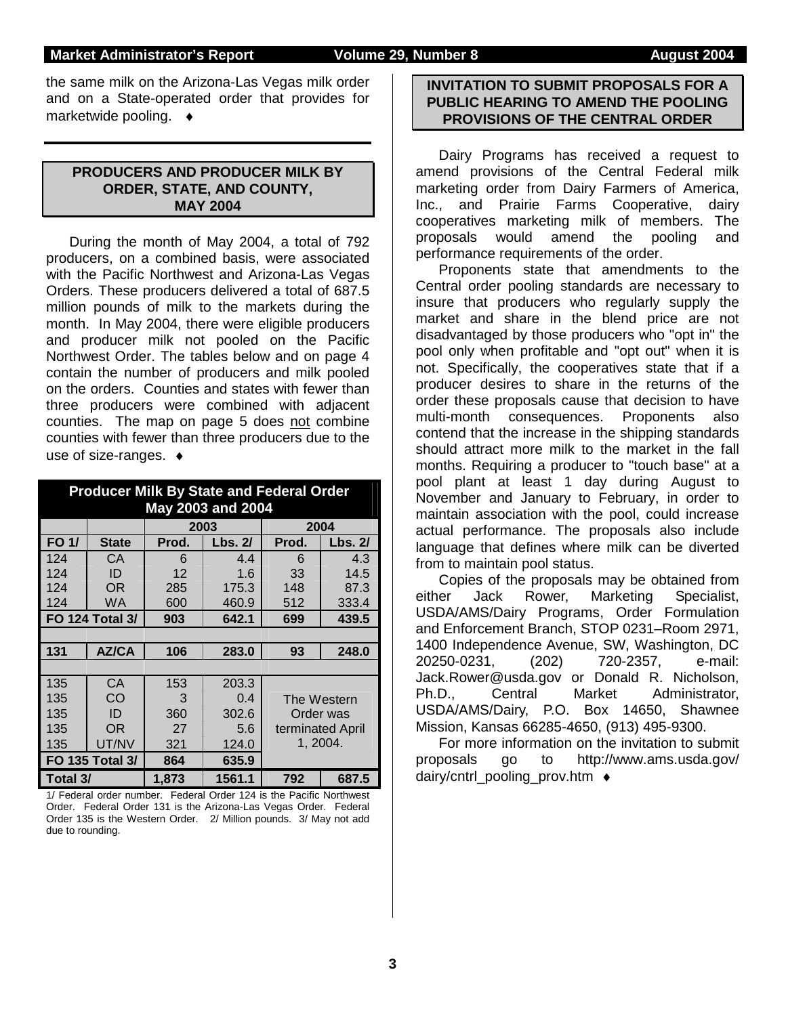#### **Market Administrator's Report Volume 29, Number 8 August 2004**

the same milk on the Arizona-Las Vegas milk order and on a State-operated order that provides for marketwide pooling. ♦

### **PRODUCERS AND PRODUCER MILK BY ORDER, STATE, AND COUNTY, MAY 2004**

 During the month of May 2004, a total of 792 producers, on a combined basis, were associated with the Pacific Northwest and Arizona-Las Vegas Orders. These producers delivered a total of 687.5 million pounds of milk to the markets during the month. In May 2004, there were eligible producers and producer milk not pooled on the Pacific Northwest Order. The tables below and on page 4 contain the number of producers and milk pooled on the orders. Counties and states with fewer than three producers were combined with adjacent counties. The map on page 5 does not combine counties with fewer than three producers due to the use of size-ranges. ♦

|          |                        |       | <b>Producer Milk By State and Federal Order</b><br><b>May 2003 and 2004</b> |                  |          |  |  |
|----------|------------------------|-------|-----------------------------------------------------------------------------|------------------|----------|--|--|
|          |                        |       | 2003                                                                        |                  | 2004     |  |  |
| FO 1/    | <b>State</b>           | Prod. | Lbs. 2/                                                                     | Prod.            | Lbs. 2/  |  |  |
| 124      | СA                     | 6     | 4.4                                                                         | 6                | 4.3      |  |  |
| 124      | ID                     | 12    | 1.6                                                                         | 33               | 14.5     |  |  |
| 124      | OR                     | 285   | 175.3                                                                       | 148              | 87.3     |  |  |
| 124      | WA.                    | 600   | 460.9                                                                       | 512              | 333.4    |  |  |
|          | <b>FO 124 Total 3/</b> | 903   | 642.1                                                                       | 699              | 439.5    |  |  |
|          |                        |       |                                                                             |                  |          |  |  |
| 131      | <b>AZ/CA</b>           | 106   | 283.0                                                                       | 93               | 248.0    |  |  |
|          |                        |       |                                                                             |                  |          |  |  |
| 135      | CA                     | 153   | 203.3                                                                       |                  |          |  |  |
| 135      | CO                     | 3     | 0.4                                                                         | The Western      |          |  |  |
| 135      | ID                     | 360   | 302.6                                                                       | Order was        |          |  |  |
| 135      | OR                     | 27    | 5.6                                                                         | terminated April |          |  |  |
| 135      | UT/NV                  | 321   | 124.0                                                                       |                  | 1, 2004. |  |  |
|          | <b>FO 135 Total 3/</b> | 864   | 635.9                                                                       |                  |          |  |  |
| Total 3/ |                        | 1,873 | 1561.1                                                                      | 792              | 687.5    |  |  |

1/ Federal order number. Federal Order 124 is the Pacific Northwest Order. Federal Order 131 is the Arizona-Las Vegas Order. Federal Order 135 is the Western Order. 2/ Million pounds. 3/ May not add due to rounding.

#### **INVITATION TO SUBMIT PROPOSALS FOR A PUBLIC HEARING TO AMEND THE POOLING PROVISIONS OF THE CENTRAL ORDER**

Dairy Programs has received a request to amend provisions of the Central Federal milk marketing order from Dairy Farmers of America, Inc., and Prairie Farms Cooperative, dairy cooperatives marketing milk of members. The proposals would amend the pooling and performance requirements of the order.

Proponents state that amendments to the Central order pooling standards are necessary to insure that producers who regularly supply the market and share in the blend price are not disadvantaged by those producers who "opt in" the pool only when profitable and "opt out" when it is not. Specifically, the cooperatives state that if a producer desires to share in the returns of the order these proposals cause that decision to have multi-month consequences. Proponents also contend that the increase in the shipping standards should attract more milk to the market in the fall months. Requiring a producer to "touch base" at a pool plant at least 1 day during August to November and January to February, in order to maintain association with the pool, could increase actual performance. The proposals also include language that defines where milk can be diverted from to maintain pool status.

Copies of the proposals may be obtained from either Jack Rower, Marketing Specialist, USDA/AMS/Dairy Programs, Order Formulation and Enforcement Branch, STOP 0231–Room 2971, 1400 Independence Avenue, SW, Washington, DC 20250-0231, (202) 720-2357, e-mail: Jack.Rower@usda.gov or Donald R. Nicholson, Ph.D., Central Market Administrator, USDA/AMS/Dairy, P.O. Box 14650, Shawnee Mission, Kansas 66285-4650, (913) 495-9300.

For more information on the invitation to submit proposals go to http://www.ams.usda.gov/ dairy/cntrl\_pooling\_prov.htm ♦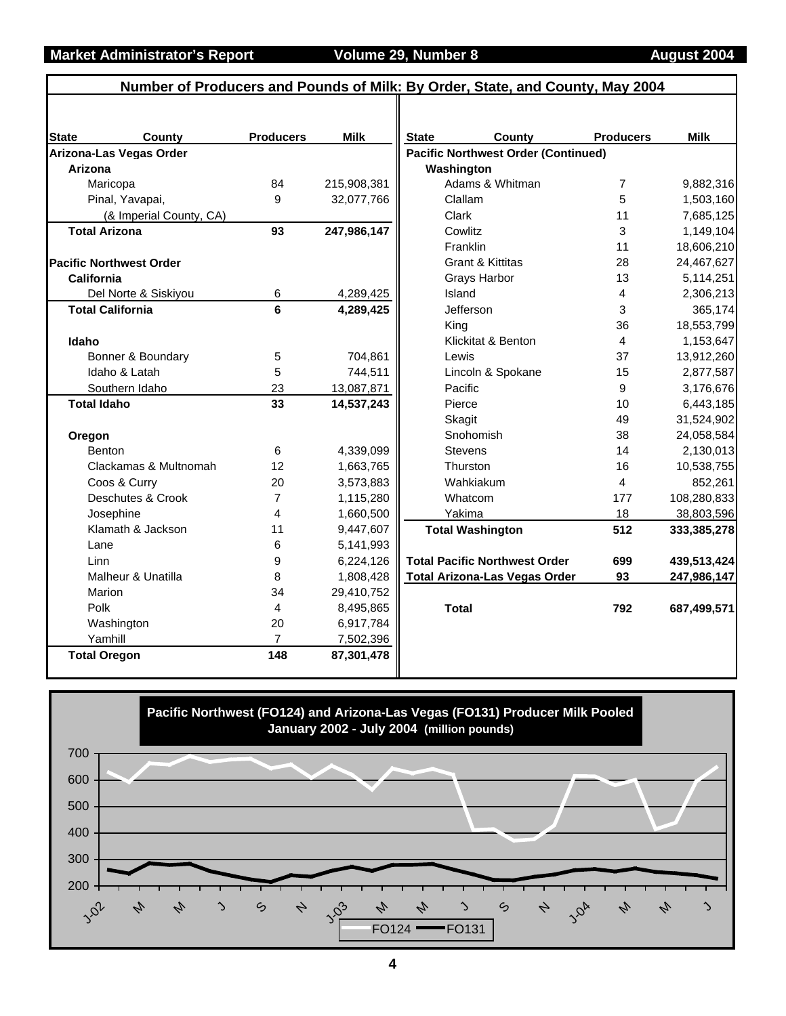|                    | Number of Producers and Pounds of Milk: By Order, State, and County, May 2004 |                  |             |              |                                            |                  |             |
|--------------------|-------------------------------------------------------------------------------|------------------|-------------|--------------|--------------------------------------------|------------------|-------------|
|                    |                                                                               |                  |             |              |                                            |                  |             |
| <b>State</b>       | County                                                                        | <b>Producers</b> | <b>Milk</b> | <b>State</b> | County                                     | <b>Producers</b> | <b>Milk</b> |
|                    | Arizona-Las Vegas Order                                                       |                  |             |              | <b>Pacific Northwest Order (Continued)</b> |                  |             |
| Arizona            |                                                                               |                  |             |              | Washington                                 |                  |             |
|                    | Maricopa                                                                      | 84               | 215,908,381 |              | Adams & Whitman                            | 7                | 9,882,316   |
|                    | Pinal, Yavapai,                                                               | 9                | 32,077,766  |              | Clallam                                    | 5                | 1,503,160   |
|                    | (& Imperial County, CA)                                                       |                  |             |              | Clark                                      | 11               | 7,685,125   |
|                    | <b>Total Arizona</b>                                                          | 93               | 247,986,147 |              | Cowlitz                                    | 3                | 1,149,104   |
|                    |                                                                               |                  |             |              | Franklin                                   | 11               | 18,606,210  |
|                    | <b>Pacific Northwest Order</b>                                                |                  |             |              | <b>Grant &amp; Kittitas</b>                | 28               | 24,467,627  |
| California         |                                                                               |                  |             |              | Grays Harbor                               | 13               | 5,114,251   |
|                    | Del Norte & Siskiyou                                                          | 6                | 4,289,425   |              | Island                                     | 4                | 2,306,213   |
|                    | <b>Total California</b>                                                       | 6                | 4,289,425   |              | Jefferson                                  | 3                | 365,174     |
|                    |                                                                               |                  |             |              | King                                       | 36               | 18,553,799  |
| Idaho              |                                                                               |                  |             |              | Klickitat & Benton                         | 4                | 1,153,647   |
|                    | Bonner & Boundary                                                             | 5                | 704,861     |              | Lewis                                      | 37               | 13,912,260  |
|                    | Idaho & Latah                                                                 | 5                | 744,511     |              | Lincoln & Spokane                          | 15               | 2,877,587   |
|                    | Southern Idaho                                                                | 23               | 13,087,871  |              | Pacific                                    | 9                | 3,176,676   |
| <b>Total Idaho</b> |                                                                               | 33               | 14,537,243  |              | Pierce                                     | 10               | 6,443,185   |
|                    |                                                                               |                  |             |              | Skagit                                     | 49               | 31,524,902  |
| Oregon             |                                                                               |                  |             |              | Snohomish                                  | 38               | 24,058,584  |
|                    | Benton                                                                        | 6                | 4,339,099   |              | <b>Stevens</b>                             | 14               | 2,130,013   |
|                    | Clackamas & Multnomah                                                         | 12               | 1,663,765   |              | Thurston                                   | 16               | 10,538,755  |
|                    | Coos & Curry                                                                  | 20               | 3,573,883   |              | Wahkiakum                                  | 4                | 852,261     |
|                    | Deschutes & Crook                                                             | 7                | 1,115,280   |              | Whatcom                                    | 177              | 108,280,833 |
|                    | Josephine                                                                     | 4                | 1,660,500   |              | Yakima                                     | 18               | 38,803,596  |
|                    | Klamath & Jackson                                                             | 11               | 9,447,607   |              | <b>Total Washington</b>                    | 512              | 333,385,278 |
| Lane               |                                                                               | 6                | 5,141,993   |              |                                            |                  |             |
| Linn               |                                                                               | 9                | 6,224,126   |              | <b>Total Pacific Northwest Order</b>       | 699              | 439,513,424 |
|                    | Malheur & Unatilla                                                            | 8                | 1,808,428   |              | <b>Total Arizona-Las Vegas Order</b>       | 93               | 247,986,147 |
|                    | Marion                                                                        | 34               | 29,410,752  |              |                                            |                  |             |
| Polk               |                                                                               | 4                | 8,495,865   |              | <b>Total</b>                               | 792              | 687,499,571 |
|                    | Washington                                                                    | 20               | 6,917,784   |              |                                            |                  |             |
|                    | Yamhill                                                                       | $\overline{7}$   | 7,502,396   |              |                                            |                  |             |
|                    | <b>Total Oregon</b>                                                           | 148              | 87,301,478  |              |                                            |                  |             |
|                    |                                                                               |                  |             |              |                                            |                  |             |

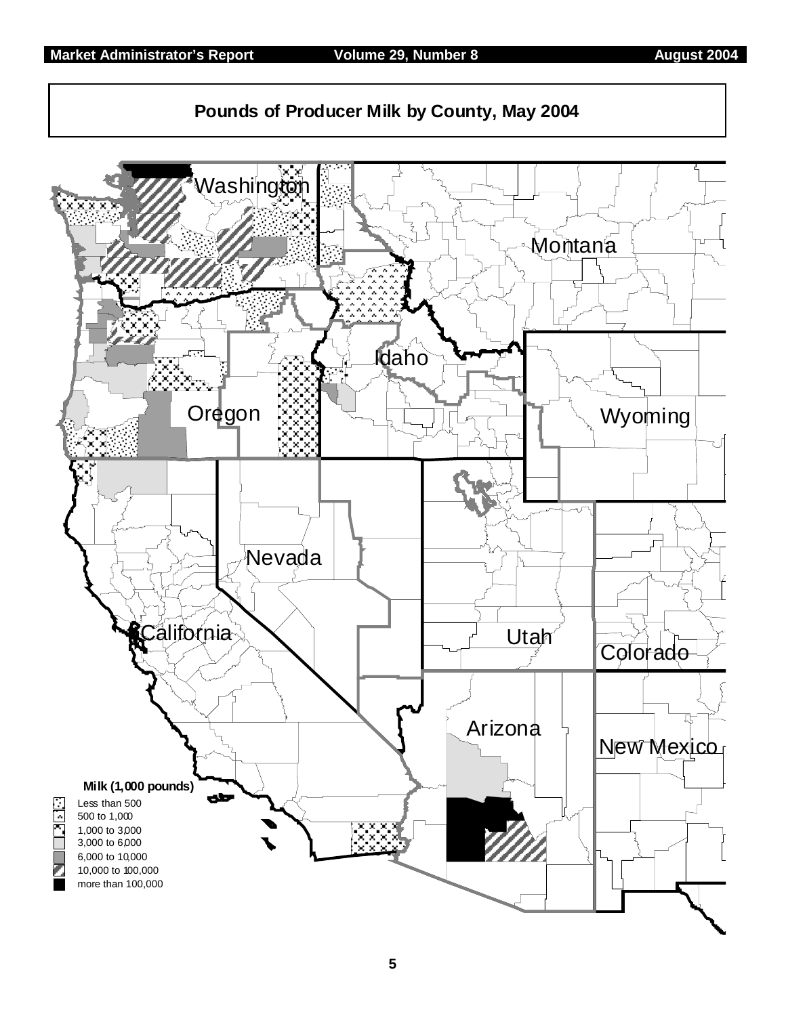

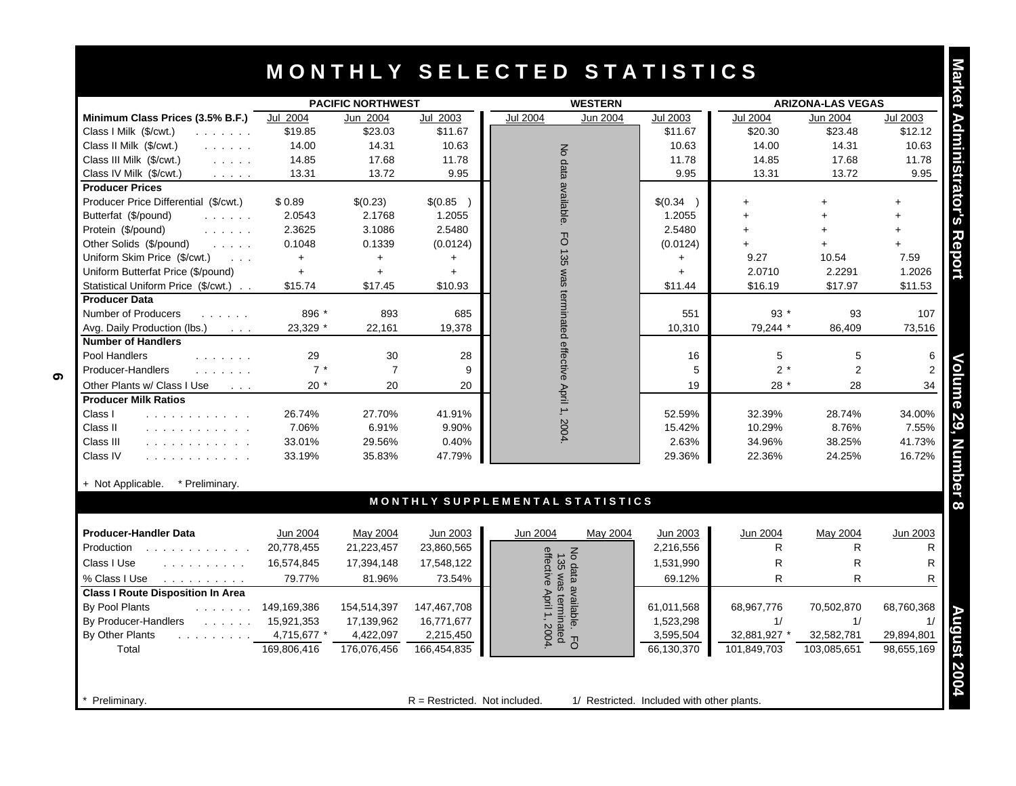## **M O N T H L Y S E L E C T E D S T A T I S T I C S**

|                                                                                                                                                                                                                                                    | <b>PACIFIC NORTHWEST</b> |                |             | <b>WESTERN</b>                         | <b>ARIZONA-LAS VEGAS</b> |                 |                |                 |
|----------------------------------------------------------------------------------------------------------------------------------------------------------------------------------------------------------------------------------------------------|--------------------------|----------------|-------------|----------------------------------------|--------------------------|-----------------|----------------|-----------------|
| Minimum Class Prices (3.5% B.F.)                                                                                                                                                                                                                   | Jul 2004                 | Jun 2004       | Jul 2003    | <b>Jul 2004</b><br>Jun 2004            | Jul 2003                 | <b>Jul 2004</b> | Jun 2004       | <b>Jul 2003</b> |
| Class I Milk (\$/cwt.)<br>and a straight and                                                                                                                                                                                                       | \$19.85                  | \$23.03        | \$11.67     |                                        | \$11.67                  | \$20.30         | \$23.48        | \$12.12         |
| Class II Milk (\$/cwt.)<br>and a straight                                                                                                                                                                                                          | 14.00                    | 14.31          | 10.63       |                                        | 10.63                    | 14.00           | 14.31          | 10.63           |
| Class III Milk (\$/cwt.)<br>$\mathcal{L}^{\mathcal{A}}$ , and $\mathcal{L}^{\mathcal{A}}$ , and                                                                                                                                                    | 14.85                    | 17.68          | 11.78       | No data                                | 11.78                    | 14.85           | 17.68          | 11.78           |
| Class IV Milk (\$/cwt.)<br>$\alpha$ , $\alpha$ , $\alpha$ , $\alpha$                                                                                                                                                                               | 13.31                    | 13.72          | 9.95        |                                        | 9.95                     | 13.31           | 13.72          | 9.95            |
| <b>Producer Prices</b>                                                                                                                                                                                                                             |                          |                |             | available.                             |                          |                 |                |                 |
| Producer Price Differential (\$/cwt.)                                                                                                                                                                                                              | \$0.89                   | \$(0.23)       | \$(0.85)    |                                        | \$(0.34)                 | $+$             | $+$            | $+$             |
| Butterfat (\$/pound)<br>and a straight                                                                                                                                                                                                             | 2.0543                   | 2.1768         | 1.2055      |                                        | 1.2055                   | $+$             | $+$            | $+$             |
| Protein (\$/pound)<br>and a straight                                                                                                                                                                                                               | 2.3625                   | 3.1086         | 2.5480      |                                        | 2.5480                   |                 | $\ddot{}$      | $+$             |
| Other Solids (\$/pound)<br>$\mathcal{L}^{\mathcal{A}}$ , and $\mathcal{L}^{\mathcal{A}}$ , and                                                                                                                                                     | 0.1048                   | 0.1339         | (0.0124)    | J                                      | (0.0124)                 |                 | $\ddot{}$      | $+$             |
| Uniform Skim Price (\$/cwt.)<br>$\sim 100$                                                                                                                                                                                                         | $+$                      | $+$            | $\ddot{}$   | $-135$                                 | $+$                      | 9.27            | 10.54          | 7.59            |
| Uniform Butterfat Price (\$/pound)                                                                                                                                                                                                                 | $+$                      | $+$            | $\ddotmark$ | sem                                    | $+$                      | 2.0710          | 2.2291         | 1.2026          |
| Statistical Uniform Price (\$/cwt.)                                                                                                                                                                                                                | \$15.74                  | \$17.45        | \$10.93     |                                        | \$11.44                  | \$16.19         | \$17.97        | \$11.53         |
| <b>Producer Data</b>                                                                                                                                                                                                                               |                          |                |             | terminated effective April 1,          |                          |                 |                |                 |
| Number of Producers<br>and a straight                                                                                                                                                                                                              | 896 *                    | 893            | 685         |                                        | 551                      | 93 $*$          | 93             | 107             |
| Avg. Daily Production (lbs.)<br><b>Contractor</b>                                                                                                                                                                                                  | 23.329 *                 | 22,161         | 19,378      |                                        | 10.310                   | 79,244 *        | 86.409         | 73,516          |
| <b>Number of Handlers</b>                                                                                                                                                                                                                          |                          |                |             |                                        |                          |                 |                |                 |
| Pool Handlers<br>$\mathbf{r}$ . The set of the set of the set of the set of the set of the set of the set of the set of the set of the set of the set of the set of the set of the set of the set of the set of the set of the set of the set of t | 29                       | 30             | 28          |                                        | 16                       | 5               | 5              |                 |
| Producer-Handlers                                                                                                                                                                                                                                  | $7 *$                    | $\overline{7}$ | 9           |                                        | 5                        | $2 *$           | $\overline{2}$ |                 |
| Other Plants w/ Class I Use<br>$\sim 100$ $\mu$                                                                                                                                                                                                    | $20*$                    | 20             | 20          |                                        | 19                       | $28*$           | 28             | 34              |
| <b>Producer Milk Ratios</b>                                                                                                                                                                                                                        |                          |                |             |                                        |                          |                 |                |                 |
| Class I<br>and a straightful and control                                                                                                                                                                                                           | 26.74%                   | 27.70%         | 41.91%      |                                        | 52.59%                   | 32.39%          | 28.74%         | 34.00%          |
| Class II<br>.                                                                                                                                                                                                                                      | 7.06%                    | 6.91%          | 9.90%       | 2004.                                  | 15.42%                   | 10.29%          | 8.76%          | 7.55%           |
| Class III<br>.                                                                                                                                                                                                                                     | 33.01%                   | 29.56%         | 0.40%       |                                        | 2.63%                    | 34.96%          | 38.25%         | 41.73%          |
| Class IV<br>.                                                                                                                                                                                                                                      | 33.19%                   | 35.83%         | 47.79%      |                                        | 29.36%                   | 22.36%          | 24.25%         | 16.72%          |
|                                                                                                                                                                                                                                                    |                          |                |             |                                        |                          |                 |                |                 |
| + Not Applicable.<br>* Preliminary.                                                                                                                                                                                                                |                          |                |             | MONTHLY SUPPLEMENTAL STATISTICS        |                          |                 |                |                 |
|                                                                                                                                                                                                                                                    |                          |                |             |                                        |                          |                 |                |                 |
| <b>Producer-Handler Data</b>                                                                                                                                                                                                                       | Jun 2004                 | May 2004       | Jun 2003    | Jun 2004<br>May 2004                   | Jun 2003                 | Jun 2004        | May 2004       | Jun 2003        |
| Production<br><u>.</u>                                                                                                                                                                                                                             | 20,778,455               | 21,223,457     | 23,860,565  | $\preccurlyeq$                         | 2,216,556                | R               | R              | R               |
| Class I Use<br>.                                                                                                                                                                                                                                   | 16,574,845               | 17,394,148     | 17,548,122  | 135                                    | 1,531,990                | $\mathsf R$     | $\mathsf{R}$   | $\mathsf{R}$    |
| % Class I Use<br>and a straight and a straight                                                                                                                                                                                                     | 79.77%                   | 81.96%         | 73.54%      | effective April 1, 2004<br>data<br>was | 69.12%                   | R               | R              |                 |
| <b>Class I Route Disposition In Area</b>                                                                                                                                                                                                           |                          |                |             |                                        |                          |                 |                |                 |
| By Pool Plants<br>a dia anala di                                                                                                                                                                                                                   | 149,169,386              | 154,514,397    | 147,467,708 | available.<br>terminated               | 61,011,568               | 68,967,776      | 70,502,870     | 68,760,368      |
| By Producer-Handlers<br>$\mathcal{L}$ . The set of the $\mathcal{L}$                                                                                                                                                                               | 15,921,353               | 17,139,962     | 16,771,677  |                                        | 1,523,298                | 1/              | 1/             | 1/              |
| By Other Plants<br>and a straight and a                                                                                                                                                                                                            | 4,715,677 *              | 4,422,097      | 2,215,450   |                                        | 3,595,504                | 32,881,927 *    | 32,582,781     | 29,894,801      |
| Total                                                                                                                                                                                                                                              | 169,806,416              | 176,076,456    | 166,454,835 | 공                                      | 66,130,370               | 101,849,703     | 103,085,651    | 98,655,169      |

#### + Not Applicable. \* Preliminary.

| <b>Producer-Handler Data</b>                                                  | Jun 2004    | May 2004    | Jun 2003    | May 2004<br>Jun 2004  | Jun 2003   | Jun 2004     | May 2004    | Jun 2003   |
|-------------------------------------------------------------------------------|-------------|-------------|-------------|-----------------------|------------|--------------|-------------|------------|
| Production                                                                    | 20,778,455  | 21,223,457  | 23,860,565  | 유                     | 2,216,556  |              | R           |            |
| Class I Use<br>and a straight and a straight                                  | 16.574.845  | 17,394,148  | 17,548,122  | $\omega$<br>ဂ္က       | 1,531,990  | R            | R           |            |
| % Class I Use<br>.                                                            | 79.77%      | 81.96%      | 73.54%      | $\bar{a}$<br>$\delta$ | 69.12%     | R            | R           |            |
| <b>Class I Route Disposition In Area</b>                                      |             |             |             | Ğ                     |            |              |             |            |
| By Pool Plants<br>.                                                           | 149,169,386 | 154,514,397 | 147,467,708 | vaila<br>tern         | 61,011,568 | 68,967,776   | 70,502,870  | 68,760,368 |
| By Producer-Handlers<br>$\mathcal{L}$ , and $\mathcal{L}$ , and $\mathcal{L}$ | 15,921,353  | 17,139,962  | 16,771,677  | ന                     | 1,523,298  |              |             |            |
| By Other Plants                                                               | 4,715,677 * | 4,422,097   | 2,215,450   | 200                   | 3,595,504  | 32,881,927 * | 32,582,781  | 29,894,801 |
| Total                                                                         | 169,806,416 | 176,076,456 | 166,454,835 | ت ¤                   | 66,130,370 | 101,849,703  | 103,085,651 | 98,655,169 |
|                                                                               |             |             |             |                       |            |              |             |            |
|                                                                               |             |             |             |                       |            |              |             |            |

**Preliminary.** The restricted of  $R =$  Restricted. Not included. 1/ Restricted. Included with other plants.

**6**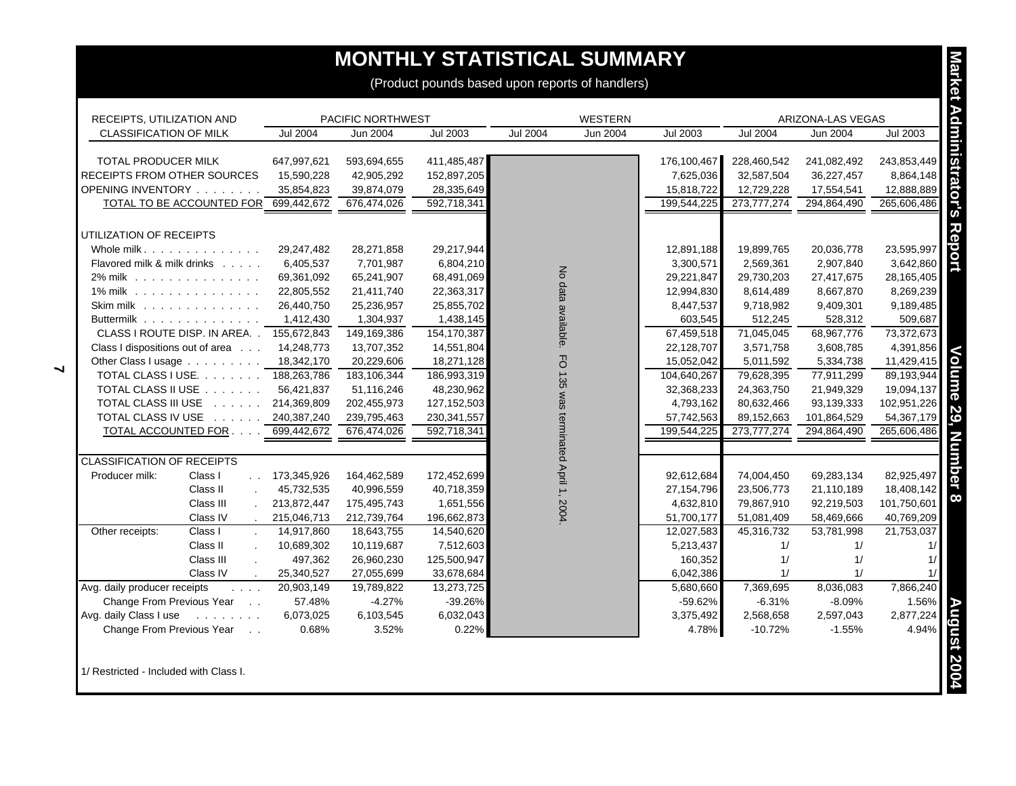## **MONTHLY STATISTICAL SUMMARY**

| RECEIPTS, UTILIZATION AND                                                                                               |                 | PACIFIC NORTHWEST |                 |                              | <b>WESTERN</b> |                 |                 | ARIZONA-LAS VEGAS |                 |
|-------------------------------------------------------------------------------------------------------------------------|-----------------|-------------------|-----------------|------------------------------|----------------|-----------------|-----------------|-------------------|-----------------|
| <b>CLASSIFICATION OF MILK</b>                                                                                           | <b>Jul 2004</b> | Jun 2004          | <b>Jul 2003</b> | <b>Jul 2004</b>              | Jun 2004       | <b>Jul 2003</b> | <b>Jul 2004</b> | <b>Jun 2004</b>   | <b>Jul 2003</b> |
| <b>TOTAL PRODUCER MILK</b>                                                                                              | 647,997,621     | 593,694,655       | 411,485,487     |                              |                | 176,100,467     | 228,460,542     | 241,082,492       | 243,853,449     |
| RECEIPTS FROM OTHER SOURCES                                                                                             | 15,590,228      | 42,905,292        | 152,897,205     |                              |                | 7,625,036       | 32,587,504      | 36,227,457        | 8,864,148       |
| OPENING INVENTORY                                                                                                       | 35,854,823      | 39,874,079        | 28,335,649      |                              |                | 15,818,722      | 12,729,228      | 17,554,541        | 12,888,889      |
| TOTAL TO BE ACCOUNTED FOR                                                                                               | 699,442,672     | 676,474,026       | 592,718,341     |                              |                | 199,544,225     | 273,777,274     | 294,864,490       | 265,606,486     |
|                                                                                                                         |                 |                   |                 |                              |                |                 |                 |                   |                 |
| UTILIZATION OF RECEIPTS                                                                                                 |                 |                   |                 |                              |                |                 |                 |                   |                 |
| Whole milk.                                                                                                             | 29,247,482      | 28,271,858        | 29,217,944      |                              |                | 12,891,188      | 19,899,765      | 20,036,778        | 23,595,997      |
| Flavored milk & milk drinks                                                                                             | 6,405,537       | 7,701,987         | 6,804,210       |                              |                | 3,300,571       | 2,569,361       | 2,907,840         | 3,642,860       |
| 2% milk                                                                                                                 | 69,361,092      | 65,241,907        | 68,491,069      | No data available.           |                | 29,221,847      | 29,730,203      | 27,417,675        | 28,165,405      |
| 1% milk                                                                                                                 | 22,805,552      | 21,411,740        | 22,363,317      |                              |                | 12,994,830      | 8,614,489       | 8,667,870         | 8,269,239       |
| Skim milk                                                                                                               | 26,440,750      | 25,236,957        | 25,855,702      |                              |                | 8,447,537       | 9,718,982       | 9,409,301         | 9,189,485       |
| Buttermilk                                                                                                              | 1,412,430       | 1,304,937         | 1,438,145       |                              |                | 603,545         | 512,245         | 528,312           | 509,687         |
| CLASS I ROUTE DISP. IN AREA. . 155,672,843                                                                              |                 | 149,169,386       | 154,170,387     |                              |                | 67,459,518      | 71,045,045      | 68,967,776        | 73,372,673      |
| Class I dispositions out of area                                                                                        | 14,248,773      | 13,707,352        | 14,551,804      |                              |                | 22,128,707      | 3,571,758       | 3,608,785         | 4,391,856       |
| Other Class I usage                                                                                                     | 18,342,170      | 20,229,606        | 18,271,128      | FO 135                       |                | 15,052,042      | 5,011,592       | 5,334,738         | 11,429,415      |
| TOTAL CLASS I USE. 188,263,786                                                                                          |                 | 183,106,344       | 186,993,319     |                              |                | 104,640,267     | 79,628,395      | 77,911,299        | 89,193,944      |
| TOTAL CLASS II USE                                                                                                      | 56,421,837      | 51,116,246        | 48,230,962      |                              |                | 32,368,233      | 24,363,750      | 21,949,329        | 19,094,137      |
| TOTAL CLASS III USE                                                                                                     | 214,369,809     | 202,455,973       | 127, 152, 503   |                              |                | 4,793,162       | 80,632,466      | 93,139,333        | 102,951,226     |
| TOTAL CLASS IV USE                                                                                                      | 240,387,240     | 239,795,463       | 230, 341, 557   |                              |                | 57,742,563      | 89,152,663      | 101,864,529       | 54,367,179      |
| TOTAL ACCOUNTED FOR                                                                                                     | 699,442,672     | 676,474,026       | 592,718,341     | was terminated April 1, 2004 |                | 199,544,225     | 273,777,274     | 294,864,490       | 265,606,486     |
| <b>CLASSIFICATION OF RECEIPTS</b>                                                                                       |                 |                   |                 |                              |                |                 |                 |                   |                 |
| Producer milk:<br>Class I<br>$\sim 10^{-1}$                                                                             | 173,345,926     | 164,462,589       | 172,452,699     |                              |                | 92,612,684      | 74,004,450      | 69,283,134        | 82,925,497      |
| Class II<br>$\mathcal{L}$                                                                                               | 45,732,535      | 40,996,559        | 40,718,359      |                              |                | 27, 154, 796    | 23,506,773      | 21,110,189        | 18,408,142      |
| Class III                                                                                                               | 213,872,447     | 175,495,743       | 1,651,556       |                              |                | 4,632,810       | 79,867,910      | 92,219,503        | 101,750,601     |
| Class IV                                                                                                                | 215,046,713     | 212,739,764       | 196,662,873     |                              |                | 51,700,177      | 51,081,409      | 58,469,666        | 40,769,209      |
| Other receipts:<br>Class I<br>$\mathcal{L}$                                                                             | 14,917,860      | 18,643,755        | 14,540,620      |                              |                | 12,027,583      | 45,316,732      | 53,781,998        | 21,753,037      |
| Class II<br>$\mathcal{L}$                                                                                               | 10,689,302      | 10,119,687        | 7,512,603       |                              |                | 5,213,437       | 1/              | 1/                | 1/              |
| Class III<br>$\mathbf{r}$                                                                                               | 497,362         | 26,960,230        | 125,500,947     |                              |                | 160,352         | 1/              | 1/                | 1/              |
| Class IV                                                                                                                | 25,340,527      | 27,055,699        | 33,678,684      |                              |                | 6,042,386       | 1/              | 1/                | 1/              |
| Avg. daily producer receipts<br>$\mathcal{L}^{\mathcal{L}}$ , $\mathcal{L}^{\mathcal{L}}$ , $\mathcal{L}^{\mathcal{L}}$ | 20,903,149      | 19,789,822        | 13,273,725      |                              |                | 5,680,660       | 7,369,695       | 8,036,083         | 7,866,240       |
| Change From Previous Year<br>$\sim$ $\sim$                                                                              | 57.48%          | $-4.27%$          | $-39.26%$       |                              |                | $-59.62%$       | $-6.31%$        | $-8.09%$          | 1.56%           |
| Avg. daily Class I use<br>and a straight and                                                                            | 6,073,025       | 6,103,545         | 6,032,043       |                              |                | 3,375,492       | 2,568,658       | 2,597,043         | 2,877,224       |
| Change From Previous Year<br>$\sim$ $\sim$                                                                              | 0.68%           | 3.52%             | 0.22%           |                              |                | 4.78%           | $-10.72%$       | $-1.55%$          | 4.94%           |

 $\blacktriangleleft$